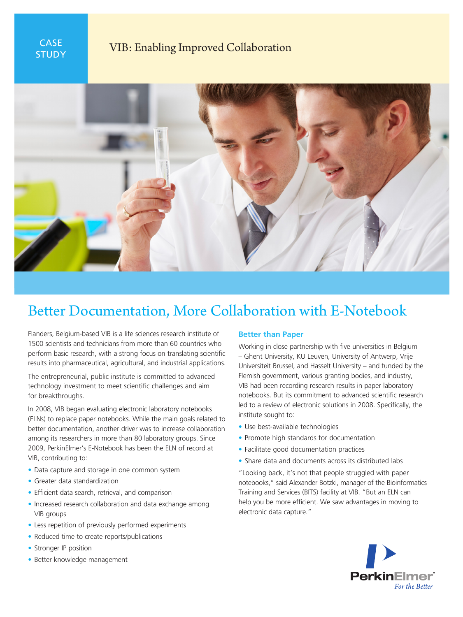

## **STUDY VIB: Enabling Improved Collaboration**



# Better Documentation, More Collaboration with E-Notebook

Flanders, Belgium-based VIB is a life sciences research institute of 1500 scientists and technicians from more than 60 countries who perform basic research, with a strong focus on translating scientific results into pharmaceutical, agricultural, and industrial applications.

The entrepreneurial, public institute is committed to advanced technology investment to meet scientific challenges and aim for breakthroughs.

In 2008, VIB began evaluating electronic laboratory notebooks (ELNs) to replace paper notebooks. While the main goals related to better documentation, another driver was to increase collaboration among its researchers in more than 80 laboratory groups. Since 2009, PerkinElmer's E-Notebook has been the ELN of record at VIB, contributing to:

- Data capture and storage in one common system
- Greater data standardization
- Efficient data search, retrieval, and comparison
- Increased research collaboration and data exchange among VIB groups
- Less repetition of previously performed experiments
- Reduced time to create reports/publications
- Stronger IP position
- Better knowledge management

#### **Better than Paper**

Working in close partnership with five universities in Belgium – Ghent University, KU Leuven, University of Antwerp, Vrije Universiteit Brussel, and Hasselt University – and funded by the Flemish government, various granting bodies, and industry, VIB had been recording research results in paper laboratory notebooks. But its commitment to advanced scientific research led to a review of electronic solutions in 2008. Specifically, the institute sought to:

- Use best-available technologies
- Promote high standards for documentation
- Facilitate good documentation practices
- Share data and documents across its distributed labs

"Looking back, it's not that people struggled with paper notebooks," said Alexander Botzki, manager of the Bioinformatics Training and Services (BITS) facility at VIB. "But an ELN can help you be more efficient. We saw advantages in moving to electronic data capture."

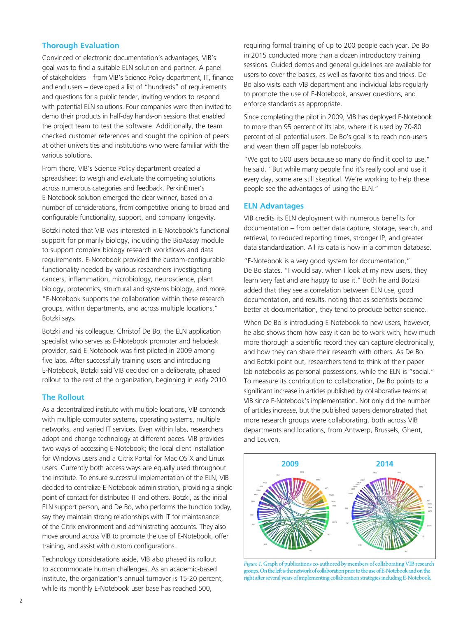## **Thorough Evaluation**

Convinced of electronic documentation's advantages, VIB's goal was to find a suitable ELN solution and partner. A panel of stakeholders – from VIB's Science Policy department, IT, finance and end users – developed a list of "hundreds" of requirements and questions for a public tender, inviting vendors to respond with potential ELN solutions. Four companies were then invited to demo their products in half-day hands-on sessions that enabled the project team to test the software. Additionally, the team checked customer references and sought the opinion of peers at other universities and institutions who were familiar with the various solutions.

From there, VIB's Science Policy department created a spreadsheet to weigh and evaluate the competing solutions across numerous categories and feedback. PerkinElmer's E-Notebook solution emerged the clear winner, based on a number of considerations, from competitive pricing to broad and configurable functionality, support, and company longevity.

Botzki noted that VIB was interested in E-Notebook's functional support for primarily biology, including the BioAssay module to support complex biology research workflows and data requirements. E-Notebook provided the custom-configurable functionality needed by various researchers investigating cancers, inflammation, microbiology, neuroscience, plant biology, proteomics, structural and systems biology, and more. "E-Notebook supports the collaboration within these research groups, within departments, and across multiple locations," Botzki says.

Botzki and his colleague, Christof De Bo, the ELN application specialist who serves as E-Notebook promoter and helpdesk provider, said E-Notebook was first piloted in 2009 among five labs. After successfully training users and introducing E-Notebook, Botzki said VIB decided on a deliberate, phased rollout to the rest of the organization, beginning in early 2010.

#### **The Rollout**

As a decentralized institute with multiple locations, VIB contends with multiple computer systems, operating systems, multiple networks, and varied IT services. Even within labs, researchers adopt and change technology at different paces. VIB provides two ways of accessing E-Notebook; the local client installation for Windows users and a Citrix Portal for Mac OS X and Linux users. Currently both access ways are equally used throughout the institute. To ensure successful implementation of the ELN, VIB decided to centralize E-Notebook administration, providing a single point of contact for distributed IT and others. Botzki, as the initial ELN support person, and De Bo, who performs the function today, say they maintain strong relationships with IT for maintanance of the Citrix environment and administrating accounts. They also move around across VIB to promote the use of E-Notebook, offer training, and assist with custom configurations.

Technology considerations aside, VIB also phased its rollout to accommodate human challenges. As an academic-based institute, the organization's annual turnover is 15-20 percent, while its monthly E-Notebook user base has reached 500,

requiring formal training of up to 200 people each year. De Bo in 2015 conducted more than a dozen introductory training sessions. Guided demos and general guidelines are available for users to cover the basics, as well as favorite tips and tricks. De Bo also visits each VIB department and individual labs regularly to promote the use of E-Notebook, answer questions, and enforce standards as appropriate.

Since completing the pilot in 2009, VIB has deployed E-Notebook to more than 95 percent of its labs, where it is used by 70-80 percent of all potential users. De Bo's goal is to reach non-users and wean them off paper lab notebooks.

"We got to 500 users because so many do find it cool to use," he said. "But while many people find it's really cool and use it every day, some are still skeptical. We're working to help these people see the advantages of using the ELN."

#### **ELN Advantages**

VIB credits its ELN deployment with numerous benefits for documentation – from better data capture, storage, search, and retrieval, to reduced reporting times, stronger IP, and greater data standardization. All its data is now in a common database.

"E-Notebook is a very good system for documentation," De Bo states. "I would say, when I look at my new users, they learn very fast and are happy to use it." Both he and Botzki added that they see a correlation between ELN use, good documentation, and results, noting that as scientists become better at documentation, they tend to produce better science.

When De Bo is introducing E-Notebook to new users, however, he also shows them how easy it can be to work with, how much more thorough a scientific record they can capture electronically, and how they can share their research with others. As De Bo and Botzki point out, researchers tend to think of their paper lab notebooks as personal possessions, while the ELN is "social." To measure its contribution to collaboration, De Bo points to a significant increase in articles published by collaborative teams at VIB since E-Notebook's implementation. Not only did the number of articles increase, but the published papers demonstrated that more research groups were collaborating, both across VIB departments and locations, from Antwerp, Brussels, Ghent, and Leuven.



Figure 1. Graph of publications co-authored by members of collaborating VIB research groups. On the left is the network of collaboration prior to the use of E-Notebook and on the right after several years of implementing collaboration strategies including E-Notebook.